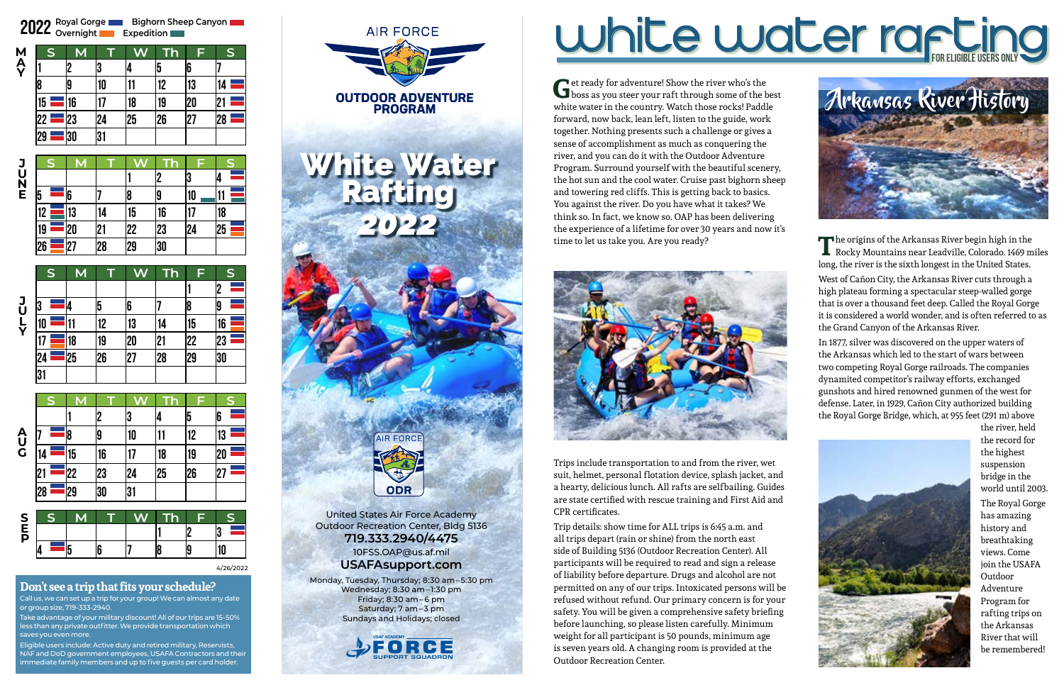# **Don't see a trip that fits your schedule?**

Call us, we can set up a trip for your group! We can almost any date or group size, 719-333-2940.

Take advantage of your military discount! All of our trips are 15-50% less than any private outfitter. We provide transportation which saves you even more.

Eligible users include: Active duty and retired military, Reservists, NAF and DoD government employees, USAFA Contractors <mark>and the</mark>i immediate family members and up to five guests per card holder.

Get ready for adventure! Show the river who's the boss as you steer your raft through some of the best white water in the country. Watch those rocks! Paddle forward, now back, lean left, listen to the guide, work together. Nothing presents such a challenge or gives a sense of accomplishment as much as conquering the river, and you can do it with the Outdoor Adventure Program. Surround yourself with the beautiful scenery, the hot sun and the cool water. Cruise past bighorn sheep and towering red cliffs. This is getting back to basics. You against the river. Do you have what it takes? We think so. In fact, we know so. OAP has been delivering the experience of a lifetime for over 30 years and now it's time to let us take you. Are you ready?



The origins of the Arkansas River begin high in the<br>Rocky Mountains near Leadville, Colorado. 1469 miles long, the river is the sixth longest in the United States. West of Cañon City, the Arkansas River cuts through a high plateau forming a spectacular steep-walled gorge that is over a thousand feet deep. Called the Royal Gorge it is considered a world wonder, and is often referred to as the Grand Canyon of the Arkansas River.

Trips include transportation to and from the river, wet suit, helmet, personal flotation device, splash jacket, and a hearty, delicious lunch. All rafts are selfbailing. Guides are state certified with rescue training and First Aid and CPR certificates.

Trip details: show time for ALL trips is 6:45 a.m. and all trips depart (rain or shine) from the north east side of Building 5136 (Outdoor Recreation Center). All participants will be required to read and sign a release of liability before departure. Drugs and alcohol are not permitted on any of our trips. Intoxicated persons will be refused without refund. Our primary concern is for your safety. You will be given a comprehensive safety briefing before launching, so please listen carefully. Minimum weight for all participant is 50 pounds, minimum age is seven years old. A changing room is provided at the Outdoor Recreation Center.

In 1877, silver was discovered on the upper waters of the Arkansas which led to the start of wars between two competing Royal Gorge railroads. The companies dynamited competitor's railway efforts, exchanged gunshots and hired renowned gunmen of the west for defense. Later, in 1929, Cañon City authorized building the Royal Gorge Bridge, which, at 955 feet (291 m) above



the river, held the record for the highest suspension bridge in the world until 2003. The Royal Gorge has amazing history and breathtaking views. Come join the USAFA Outdoor Adventure Program for rafting trips on the Arkansas River that will be remembered!

**1 2 3 4 5 6 7 8 9 10**

| S  | M  |    | W  | <b>Th</b> | F  | S  |
|----|----|----|----|-----------|----|----|
|    |    |    |    |           |    | 2  |
| 3  | 4  | 5  | 6  |           | 18 | 19 |
| 10 | 11 | 12 | 13 | 14        | 15 | 16 |
| 17 | 18 | 19 | 20 | 21        | 22 | 23 |
| 24 | 25 | 26 | 27 | 28        | 29 | 30 |
| 31 |    |    |    |           |    |    |

|                | $\overline{\mathsf{S}}$ | M  |                | $\bm{N}$ | Гh | Ē       | S       |
|----------------|-------------------------|----|----------------|----------|----|---------|---------|
|                |                         |    | $\overline{2}$ | 3        | 14 | 5       | 6       |
| A<br>U<br>G    |                         | 8  | 19             | 10       | 11 | 12      | 13      |
|                | 14                      | 15 | 16             | 17       | 18 | 19      | 20      |
|                | 21                      | 22 | 23             | 24       | 25 | 26      | 27      |
|                | 28                      | 29 | 30             | 31       |    |         |         |
|                |                         |    |                |          |    |         |         |
| S <sub>F</sub> | S                       | M  |                | W        | ٠  | F<br>Iص | S<br>l٨ |





|    | S | M  |    |    |    | F  | $\mathsf{s}$ |
|----|---|----|----|----|----|----|--------------|
|    |   |    |    |    | '2 | 3  |              |
| 5  |   | 6  |    | 8  | 19 | 10 | 11           |
| 12 |   | 13 | 14 | 15 | 16 | 17 | 18           |
| 19 |   | 20 | 21 | 22 | 23 | 24 | 25           |
| 26 |   | 27 | 28 | 29 | 30 |    |              |

### **E P**

**J U L Y**

 $\frac{\mathbf{24}}{\mathbf{31}}$ 

**J U N E**

| 2022 Royal Gorge<br><b>Bighorn Sheep Canyon</b><br><b>Expedition</b> |             |    |    |    |    |     |             |  |
|----------------------------------------------------------------------|-------------|----|----|----|----|-----|-------------|--|
|                                                                      | $\mathsf S$ | M  |    |    |    | F   | $\mathsf S$ |  |
| M<br>A<br>Y                                                          |             |    | 3  |    | b  | 6   |             |  |
|                                                                      |             |    | 10 |    | 12 | 13  |             |  |
|                                                                      | 15          | 16 | 17 | 18 | 19 | '20 | $2^{\circ}$ |  |
|                                                                      | 22          | 23 | 24 | 25 | 26 | 2   | 28          |  |
|                                                                      | 29          | 30 | 31 |    |    |     |             |  |



4/26/2022